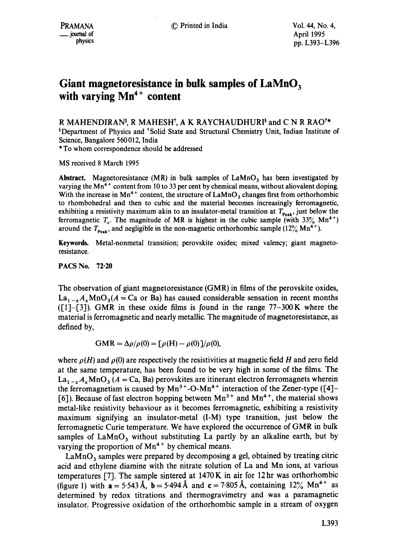## **Giant magnetoresistance in bulk samples of LaMnO 3**  with varying Mn<sup>4+</sup> content

R MAHENDIRAN<sup>§</sup>, R MAHESH<sup>†</sup>, A K RAYCHAUDHURI<sup>§</sup> and C N R RAO<sup>†\*</sup> <sup>§</sup>Department of Physics and <sup>†</sup>Solid State and Structural Chemistry Unit, Indian Institute of Science, Bangalore 560 012, India \* To whom correspondence should be addressed

MS received 8 March 1995

Abstract, Magnetoresistance (MR) in bulk samples of  $LAMnO<sub>3</sub>$  has been investigated by varying the  $Mn<sup>4+</sup>$  content from 10 to 33 per cent by chemical means, without aliovalent doping. With the increase in Mn<sup>4+</sup> content, the structure of  $LaMnO<sub>3</sub>$  changes first from orthorhombic to rhombohedral and then to cubic and the material becomes increasingly ferromagnetic, exhibiting a resistivity maximum akin to an insulator-metal transition at  $T_{\text{peak}}$ , just below the ferromagnetic  $T_c$ . The magnitude of MR is highest in the cubic sample (with 33% Mn<sup>4+</sup>) around the  $T_{\text{Peak}}$ , and negligible in the non-magnetic orthorhombic sample (12% Mn<sup>4+</sup>).

**Keywords.** Metal-nonmetal transition; perovskite oxides; mixed valency; giant magnetoresistance.

PACS No. 72-20

The observation of giant magnetoresistance (GMR) in films of the perovskite oxides,  $La_{1-x}A_xMnO_3(A = Ca$  or Ba) has caused considerable sensation in recent months  $([1] - [3])$ . GMR in these oxide films is found in the range 77-300 K where the material is ferromagnetic and nearly metallic. The magnitude of magnetoresistance, as defined by,

$$
GMR = \Delta \rho / \rho(0) = [\rho(H) - \rho(0)] / \rho(0),
$$

where  $\rho(H)$  and  $\rho(0)$  are respectively the resistivities at magnetic field H and zero field at the same temperature, has been found to be very high in some of the films. The  $La_{1-x}A_x MnO_3 (A = Ca, Ba)$  perovskites are itinerant electron ferromagnets wherein the ferromagnetism is caused by  $Mn^{3+}$ -O-Mn<sup>4+</sup> interaction of the Zener-type ([4]-[6]). Because of fast electron hopping between  $Mn^{3+}$  and  $Mn^{4+}$ , the material shows metal-like resistivity behaviour as it becomes ferromagnetic, exhibiting a resistivity maximum signifying an insulator-metal (I-M) type transition, just below the ferromagnetic Curie temperature. We have explored the occurrence of GMR in bulk samples of  $\text{LaMnO}_3$  without substituting La partly by an alkaline earth, but by varying the proportion of  $Mn^{4+}$  by chemical means.

 $LaMnO_3$  samples were prepared by decomposing a gel, obtained by treating citric acid and ethylene diamine with the nitrate solution of La and Mn ions, at various temperatures [7]. The sample sintered at 1470K in air for 12hr was orthorhombic (figure 1) with  $a = 5.543~\text{\AA}$ ,  $b = 5.494~\text{\AA}$  and  $c = 7.805~\text{\AA}$ , containing  $12\%$  Mn<sup>4+</sup> as determined by redox titrations and thermogravimetry and was a paramagnetic insulator. Progressive oxidation of the orthorhombic sample in a stream of oxygen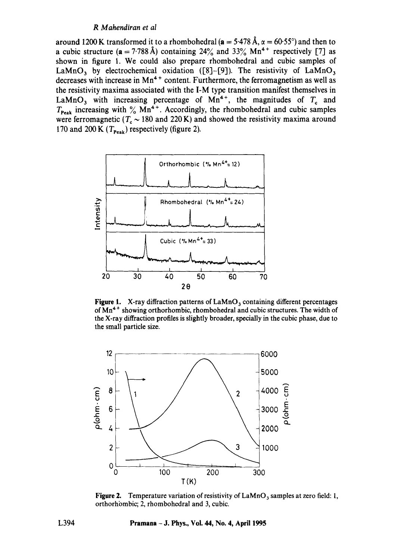## *R Mahendiran et al*

around 1200 K transformed it to a rhombohedral ( $a = 5.478$  Å,  $\alpha = 60.55^{\circ}$ ) and then to a cubic structure ( $a = 7.788 \text{ Å}$ ) containing 24% and 33% Mn<sup>4+</sup> respectively [7] as shown in figure 1. We could also prepare rhombohedral and cubic samples of LaMnO<sub>3</sub> by electrochemical oxidation ([8]-[9]). The resistivity of LaMnO<sub>3</sub> decreases with increase in Mn<sup>4+</sup> content. Furthermore, the ferromagnetism as well as the resistivity maxima associated with the I-M type transition manifest themselves in LaMnO<sub>3</sub> with increasing percentage of Mn<sup>4+</sup>, the magnitudes of  $T_c$  and  $T_{\text{Peak}}$  increasing with  $\%$  Mn<sup>4+</sup>. Accordingly, the rhombohedral and cubic samples were ferromagnetic ( $T_c \sim 180$  and 220 K) and showed the resistivity maxima around 170 and 200 K  $(T_{\text{peak}})$  respectively (figure 2).



**Figure 1.** X-ray diffraction patterns of LaMnO<sub>3</sub> containing different percentages of  $Mn^{4+}$  showing orthorhombic, rhombohedral and cubic structures. The width of the X-ray diffraction profiles is slightly broader, specially in the cubic phase, due to the small particle size.



**Figure 2.** Temperature variation of resistivity of LaMnO<sub>3</sub> samples at zero field: 1, orthorhombic; 2, rhombohedral and 3, cubic.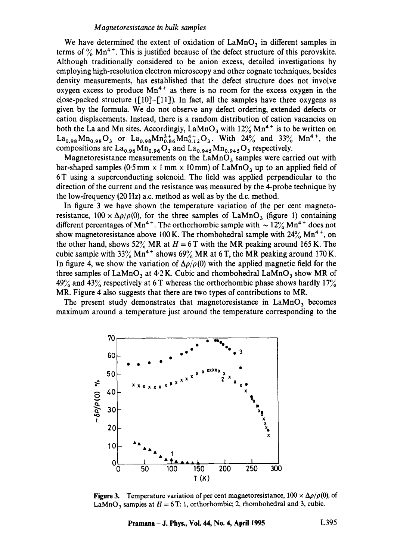## *M agnetoresistance in bulk samples*

We have determined the extent of oxidation of  $\text{LaMnO}_3$  in different samples in terms of  $\%$  Mn<sup>4+</sup>. This is justified because of the defect structure of this perovskite. Although traditionally considered to be anion excess, detailed investigations by employing high-resolution electron microscopy and other cognate techniques, besides density measurements, has established that the defect structure does not involve oxygen excess to produce  $Mn^{4+}$  as there is no room for the excess oxygen in the close-packed structure ( $[10]$ - $[11]$ ). In fact, all the samples have three oxygens as given by the formula. We do not observe any defect ordering, extended defects or cation displacements. Instead, there is a random distribution of cation vacancies on both the La and Mn sites. Accordingly,  $\text{LaMnO}_3$  with  $12\%$  Mn<sup>4+</sup> is to be written on  $La_{0.98}Mn_{0.98}O_3$  or  $La_{0.98}Mn_{0.86}^{3+}Mn_{0.12}^{4+}O_3$ . With  $24\%$  and  $33\%$   $Mn^{4+}$ , the compositions are  $La_{0.96}Mn_{0.96}O_3$  and  $La_{0.945}Mn_{0.945}O_3$  respectively.

Magnetoresistance measurements on the  $LaMnO<sub>3</sub>$  samples were carried out with bar-shaped samples (0.5 mm  $\times$  1 mm  $\times$  10 mm) of LaMnO<sub>3</sub> up to an applied field of 6T using a superconducting solenoid. The field was applied perpendicular to the direction of the current and the resistance was measured by the 4-probe technique by the low-frequency (20 Hz) a.c. method as well as by the d.c. method.

In figure 3 we have shown the temperature variation of the per cent magnetoresistance,  $100 \times \Delta \rho / \rho(0)$ , for the three samples of LaMnO<sub>3</sub> (figure 1) containing different percentages of Mn<sup>4+</sup>. The orthorhombic sample with  $\sim$  12% Mn<sup>4+</sup> does not show magnetoresistance above 100 K. The rhombohedral sample with  $24\%$  Mn<sup>4+</sup>, on the other hand, shows 52% MR at  $H = 6$  T with the MR peaking around 165 K. The cubic sample with  $33\%$  Mn<sup>4+</sup> shows  $69\%$  MR at 6T, the MR peaking around 170 K. In figure 4, we show the variation of  $\Delta \rho / \rho(0)$  with the applied magnetic field for the three samples of  $\text{LaMnO}_3$  at 4.2 K. Cubic and rhombohedral  $\text{LaMnO}_3$  show MR of 49% and 43% respectively at 6 T whereas the orthorhombic phase shows hardly  $17%$ MR. Figure 4 also suggests that there are two types of contributions to MR.

The present study demonstrates that magnetoresistance in  $\text{LaMnO}_3$  becomes maximum around a temperature just around the temperature corresponding to the



**Figure 3.** Temperature variation of per cent magnetoresistance,  $100 \times \Delta \rho / \rho(0)$ , of LaMnO<sub>3</sub> samples at  $H = 6$  T: 1, orthorhombic; 2, rhombohedral and 3, cubic.